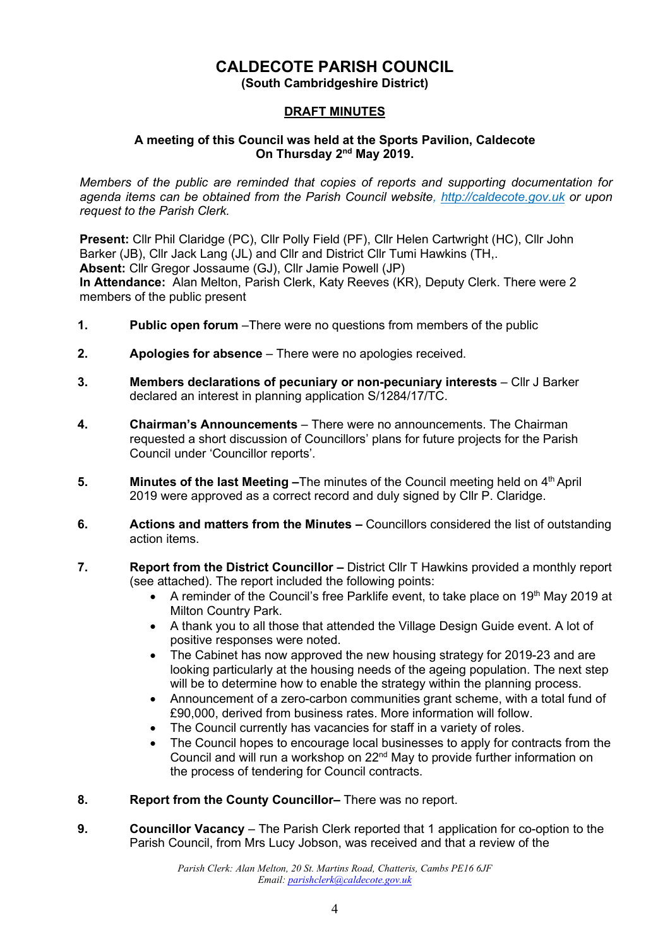# **CALDECOTE PARISH COUNCIL**

**(South Cambridgeshire District)**

## **DRAFT MINUTES**

#### **A meeting of this Council was held at the Sports Pavilion, Caldecote On Thursday 2<sup>nd</sup> May 2019.**

*Members of the public are reminded that copies of reports and supporting documentation for agenda items can be obtained from the Parish Council website, [http://caldecote.gov.uk](http://caldecote.gov.uk/) or upon request to the Parish Clerk.*

**Present:** Cllr Phil Claridge (PC), Cllr Polly Field (PF), Cllr Helen Cartwright (HC), Cllr John Barker (JB), Cllr Jack Lang (JL) and Cllr and District Cllr Tumi Hawkins (TH,. **Absent:** Cllr Gregor Jossaume (GJ), Cllr Jamie Powell (JP) **In Attendance:** Alan Melton, Parish Clerk, Katy Reeves (KR), Deputy Clerk. There were 2 members of the public present

- **1. Public open forum** –There were no questions from members of the public
- **2. Apologies for absence** There were no apologies received.
- **3. Members declarations of pecuniary or non-pecuniary interests**  Cllr J Barker declared an interest in planning application S/1284/17/TC.
- **4. Chairman's Announcements** There were no announcements. The Chairman requested a short discussion of Councillors' plans for future projects for the Parish Council under 'Councillor reports'.
- **5. Minutes of the last Meeting –**The minutes of the Council meeting held on 4<sup>th</sup> April 2019 were approved as a correct record and duly signed by Cllr P. Claridge.
- **6. Actions and matters from the Minutes –** Councillors considered the list of outstanding action items.
- **7. Report from the District Councillor –** District Cllr T Hawkins provided a monthly report (see attached). The report included the following points:
	- A reminder of the Council's free Parklife event, to take place on 19<sup>th</sup> May 2019 at Milton Country Park.
	- A thank you to all those that attended the Village Design Guide event. A lot of positive responses were noted.
	- The Cabinet has now approved the new housing strategy for 2019-23 and are looking particularly at the housing needs of the ageing population. The next step will be to determine how to enable the strategy within the planning process.
	- Announcement of a zero-carbon communities grant scheme, with a total fund of £90,000, derived from business rates. More information will follow.
	- The Council currently has vacancies for staff in a variety of roles.
	- The Council hopes to encourage local businesses to apply for contracts from the Council and will run a workshop on 22<sup>nd</sup> May to provide further information on the process of tendering for Council contracts.
- **8. Report from the County Councillor***–* There was no report.
- **9. Councillor Vacancy** The Parish Clerk reported that 1 application for co-option to the Parish Council, from Mrs Lucy Jobson, was received and that a review of the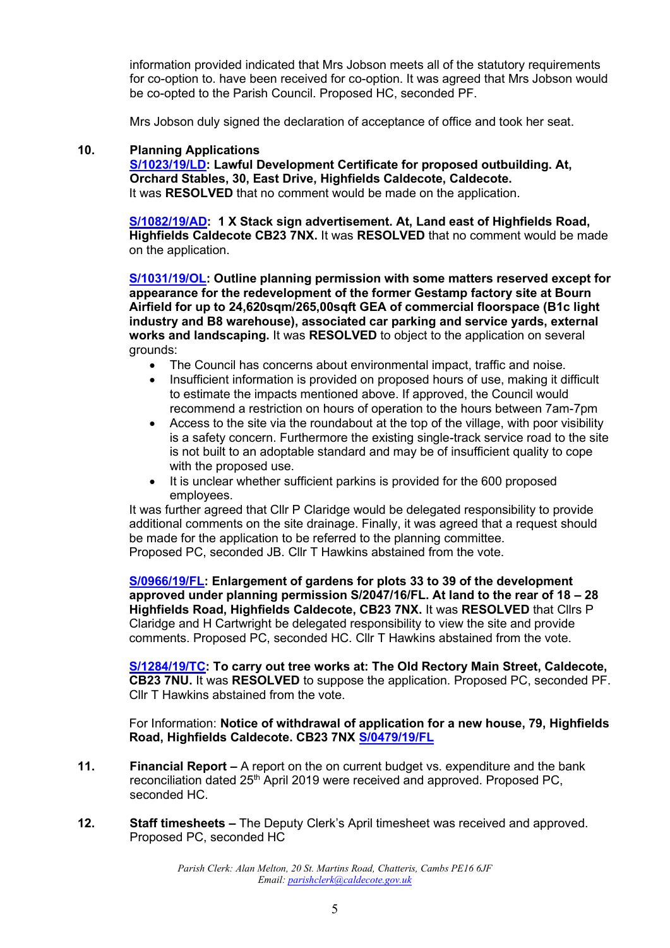information provided indicated that Mrs Jobson meets all of the statutory requirements for co-option to. have been received for co-option. It was agreed that Mrs Jobson would be co-opted to the Parish Council. Proposed HC, seconded PF.

Mrs Jobson duly signed the declaration of acceptance of office and took her seat.

#### **10. Planning Applications**

**[S/1023/19/LD:](http://plan.scambs.gov.uk/swiftlg/apas/run/WPHAPPDETAIL.DisplayUrl?theApnID=S/1023/19/LD&backURL=%253Ca%2520href%253Dwphappcriteria.display%253FpaSearchKey%253D1932338%253ESearch%2520Criteria%253C%252Fa%253E%20%3E%20%3Ca%20href%3D%27wphappsearchres.displayResultsURL%3FResultID%3D2531804%2526StartIndex%3D1%2526SortOrder%3Drgndat%3Adesc%2526DispResultsAs%3DWPHAPPSEARCHRES%2526BackURL%3D%253Ca%2520href%253Dwphappcriteria.display%253FpaSearchKey%253D1932338%253ESearch%2520Criteria%253C%252Fa%253E%27%3ESearch%20Results%3C%2Fa%3E) Lawful Development Certificate for proposed outbuilding. At, Orchard Stables, 30, East Drive, Highfields Caldecote, Caldecote.** It was **RESOLVED** that no comment would be made on the application.

**[S/1082/19/AD:](http://plan.scambs.gov.uk/swiftlg/apas/run/WPHAPPDETAIL.DisplayUrl?theApnID=S/1082/19/AD&backURL=%253Ca%2520href%253Dwphappcriteria.display%253FpaSearchKey%253D1932340%253ESearch%2520Criteria%253C%252Fa%253E%20%3E%20%3Ca%20href%3D%27wphappsearchres.displayResultsURL%3FResultID%3D2531806%2526StartIndex%3D1%2526SortOrder%3Drgndat%3Adesc%2526DispResultsAs%3DWPHAPPSEARCHRES%2526BackURL%3D%253Ca%2520href%253Dwphappcriteria.display%253FpaSearchKey%253D1932340%253ESearch%2520Criteria%253C%252Fa%253E%27%3ESearch%20Results%3C%2Fa%3E) 1 X Stack sign advertisement. At, Land east of Highfields Road, Highfields Caldecote CB23 7NX.** It was **RESOLVED** that no comment would be made on the application.

**[S/1031/19/OL:](http://plan.scambs.gov.uk/swiftlg/apas/run/WPHAPPDETAIL.DisplayUrl?theApnID=S/1031/19/OL&backURL=%253Ca%2520href%253Dwphappcriteria.display%253FpaSearchKey%253D1932343%253ESearch%2520Criteria%253C%252Fa%253E%20%3E%20%3Ca%20href%3D%27wphappsearchres.displayResultsURL%3FResultID%3D2531810%2526StartIndex%3D1%2526SortOrder%3Drgndat%3Adesc%2526DispResultsAs%3DWPHAPPSEARCHRES%2526BackURL%3D%253Ca%2520href%253Dwphappcriteria.display%253FpaSearchKey%253D1932343%253ESearch%2520Criteria%253C%252Fa%253E%27%3ESearch%20Results%3C%2Fa%3E) Outline planning permission with some matters reserved except for appearance for the redevelopment of the former Gestamp factory site at Bourn Airfield for up to 24,620sqm/265,00sqft GEA of commercial floorspace (B1c light industry and B8 warehouse), associated car parking and service yards, external works and landscaping.** It was **RESOLVED** to object to the application on several grounds:

- The Council has concerns about environmental impact, traffic and noise.
- Insufficient information is provided on proposed hours of use, making it difficult to estimate the impacts mentioned above. If approved, the Council would recommend a restriction on hours of operation to the hours between 7am-7pm
- Access to the site via the roundabout at the top of the village, with poor visibility is a safety concern. Furthermore the existing single-track service road to the site is not built to an adoptable standard and may be of insufficient quality to cope with the proposed use.
- It is unclear whether sufficient parkins is provided for the 600 proposed employees.

It was further agreed that Cllr P Claridge would be delegated responsibility to provide additional comments on the site drainage. Finally, it was agreed that a request should be made for the application to be referred to the planning committee. Proposed PC, seconded JB. Cllr T Hawkins abstained from the vote.

**[S/0966/19/FL:](http://plan.scambs.gov.uk/swiftlg/apas/run/WPHAPPDETAIL.DisplayUrl?theApnID=S/0966/19/FL&backURL=%253Ca%2520href%253Dwphappcriteria.display%253FpaSearchKey%253D1932345%253ESearch%2520Criteria%253C%252Fa%253E%20%3E%20%3Ca%20href%3D%27wphappsearchres.displayResultsURL%3FResultID%3D2531812%2526StartIndex%3D1%2526SortOrder%3Drgndat%3Adesc%2526DispResultsAs%3DWPHAPPSEARCHRES%2526BackURL%3D%253Ca%2520href%253Dwphappcriteria.display%253FpaSearchKey%253D1932345%253ESearch%2520Criteria%253C%252Fa%253E%27%3ESearch%20Results%3C%2Fa%3E) Enlargement of gardens for plots 33 to 39 of the development approved under planning permission S/2047/16/FL. At land to the rear of 18 – 28 Highfields Road, Highfields Caldecote, CB23 7NX.** It was **RESOLVED** that Cllrs P Claridge and H Cartwright be delegated responsibility to view the site and provide comments. Proposed PC, seconded HC. Cllr T Hawkins abstained from the vote.

**[S/1284/19/TC:](http://plan.scambs.gov.uk/swiftlg/apas/run/WPHAPPCRITERIA) To carry out tree works at: The Old Rectory Main Street, Caldecote, CB23 7NU.** It was **RESOLVED** to suppose the application. Proposed PC, seconded PF. Cllr T Hawkins abstained from the vote.

For Information: **Notice of withdrawal of application for a new house, 79, Highfields Road, Highfields Caldecote. CB23 7NX [S/0479/19/FL](http://plan.scambs.gov.uk/swiftlg/apas/run/WPHAPPDETAIL.DisplayUrl?theApnID=S/0479/19/FL&backURL=%253Ca%2520href%253Dwphappcriteria.display%253FpaSearchKey%253D1932349%253ESearch%2520Criteria%253C%252Fa%253E%20%3E%20%3Ca%20href%3D%27wphappsearchres.displayResultsURL%3FResultID%3D2531817%2526StartIndex%3D1%2526SortOrder%3Drgndat%3Adesc%2526DispResultsAs%3DWPHAPPSEARCHRES%2526BackURL%3D%253Ca%2520href%253Dwphappcriteria.display%253FpaSearchKey%253D1932349%253ESearch%2520Criteria%253C%252Fa%253E%27%3ESearch%20Results%3C%2Fa%3E)**

- **11. Financial Report –** A report on the on current budget vs. expenditure and the bank reconciliation dated 25th April 2019 were received and approved. Proposed PC, seconded HC.
- **12. Staff timesheets –** The Deputy Clerk's April timesheet was received and approved. Proposed PC, seconded HC

*Parish Clerk: Alan Melton, 20 St. Martins Road, Chatteris, Cambs PE16 6JF Email: [parishclerk@caldecote.gov.uk](mailto:parishclerk@caldecote.gov.uk)*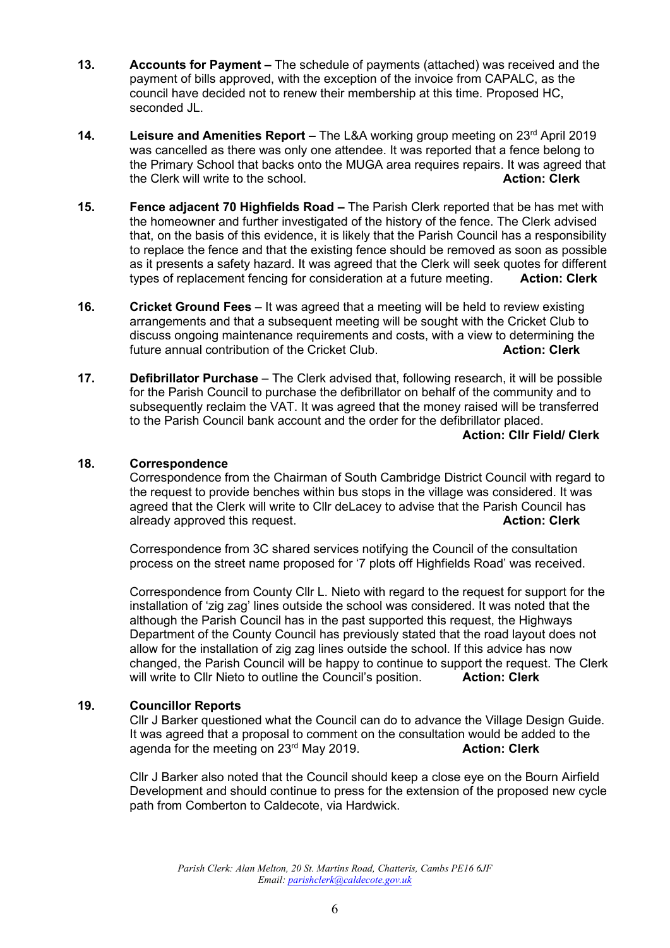- **13. <b>Accounts for Payment** The schedule of payments (attached) was received and the payment of bills approved, with the exception of the invoice from CAPALC, as the council have decided not to renew their membership at this time. Proposed HC, seconded JL.
- **14.** Leisure and Amenities Report The L&A working group meeting on 23<sup>rd</sup> April 2019 was cancelled as there was only one attendee. It was reported that a fence belong to the Primary School that backs onto the MUGA area requires repairs. It was agreed that the Clerk will write to the school. **Action: Clerk**
- **15. Fence adjacent 70 Highfields Road –** The Parish Clerk reported that be has met with the homeowner and further investigated of the history of the fence. The Clerk advised that, on the basis of this evidence, it is likely that the Parish Council has a responsibility to replace the fence and that the existing fence should be removed as soon as possible as it presents a safety hazard. It was agreed that the Clerk will seek quotes for different types of replacement fencing for consideration at a future meeting. **Action: Clerk**
- **16. Cricket Ground Fees**  It was agreed that a meeting will be held to review existing arrangements and that a subsequent meeting will be sought with the Cricket Club to discuss ongoing maintenance requirements and costs, with a view to determining the future annual contribution of the Cricket Club. **Action: Clerk Action: Clerk**
- **17. Defibrillator Purchase**  The Clerk advised that, following research, it will be possible for the Parish Council to purchase the defibrillator on behalf of the community and to subsequently reclaim the VAT. It was agreed that the money raised will be transferred to the Parish Council bank account and the order for the defibrillator placed.

#### **Action: Cllr Field/ Clerk**

#### **18. Correspondence**

Correspondence from the Chairman of South Cambridge District Council with regard to the request to provide benches within bus stops in the village was considered. It was agreed that the Clerk will write to Cllr deLacey to advise that the Parish Council has already approved this request. **Action: Clerk**

Correspondence from 3C shared services notifying the Council of the consultation process on the street name proposed for '7 plots off Highfields Road' was received.

Correspondence from County Cllr L. Nieto with regard to the request for support for the installation of 'zig zag' lines outside the school was considered. It was noted that the although the Parish Council has in the past supported this request, the Highways Department of the County Council has previously stated that the road layout does not allow for the installation of zig zag lines outside the school. If this advice has now changed, the Parish Council will be happy to continue to support the request. The Clerk will write to Cllr Nieto to outline the Council's position. **Action: Clerk**

#### **19. Councillor Reports**

Cllr J Barker questioned what the Council can do to advance the Village Design Guide. It was agreed that a proposal to comment on the consultation would be added to the agenda for the meeting on 23rd May 2019. **Action: Clerk**

Cllr J Barker also noted that the Council should keep a close eye on the Bourn Airfield Development and should continue to press for the extension of the proposed new cycle path from Comberton to Caldecote, via Hardwick.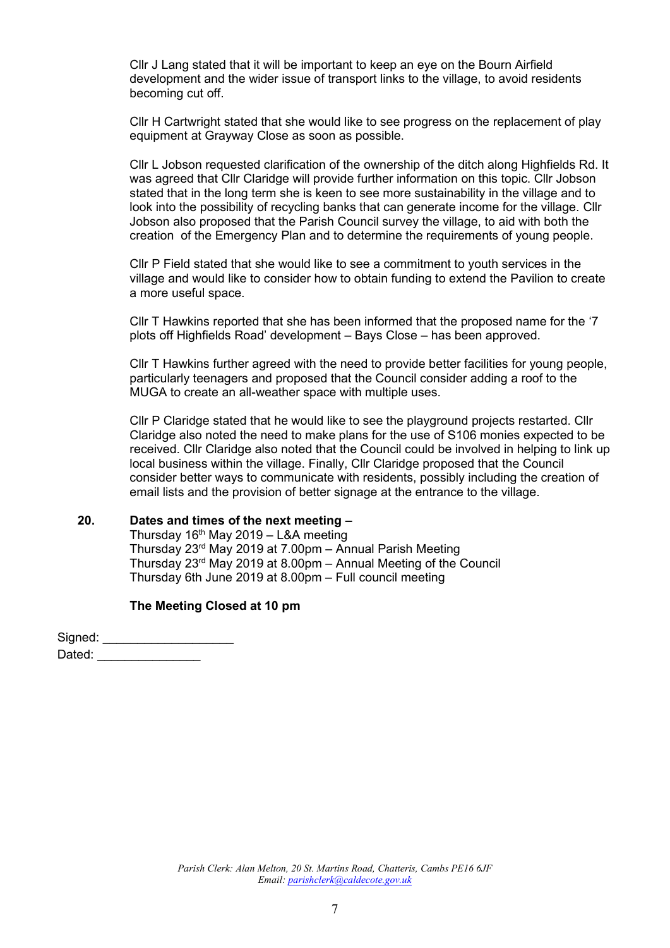Cllr J Lang stated that it will be important to keep an eye on the Bourn Airfield development and the wider issue of transport links to the village, to avoid residents becoming cut off.

Cllr H Cartwright stated that she would like to see progress on the replacement of play equipment at Grayway Close as soon as possible.

Cllr L Jobson requested clarification of the ownership of the ditch along Highfields Rd. It was agreed that Cllr Claridge will provide further information on this topic. Cllr Jobson stated that in the long term she is keen to see more sustainability in the village and to look into the possibility of recycling banks that can generate income for the village. Cllr Jobson also proposed that the Parish Council survey the village, to aid with both the creation of the Emergency Plan and to determine the requirements of young people.

Cllr P Field stated that she would like to see a commitment to youth services in the village and would like to consider how to obtain funding to extend the Pavilion to create a more useful space.

Cllr T Hawkins reported that she has been informed that the proposed name for the '7 plots off Highfields Road' development – Bays Close – has been approved.

Cllr T Hawkins further agreed with the need to provide better facilities for young people, particularly teenagers and proposed that the Council consider adding a roof to the MUGA to create an all-weather space with multiple uses.

Cllr P Claridge stated that he would like to see the playground projects restarted. Cllr Claridge also noted the need to make plans for the use of S106 monies expected to be received. Cllr Claridge also noted that the Council could be involved in helping to link up local business within the village. Finally, Cllr Claridge proposed that the Council consider better ways to communicate with residents, possibly including the creation of email lists and the provision of better signage at the entrance to the village.

#### **20. Dates and times of the next meeting –**

Thursday 16<sup>th</sup> May 2019 – L&A meeting Thursday 23rd May 2019 at 7.00pm – Annual Parish Meeting Thursday 23rd May 2019 at 8.00pm – Annual Meeting of the Council Thursday 6th June 2019 at 8.00pm – Full council meeting

#### **The Meeting Closed at 10 pm**

Signed: \_\_\_\_\_\_\_\_\_\_\_\_\_\_\_\_\_\_\_\_\_\_\_ Dated: \_\_\_\_\_\_\_\_\_\_\_\_\_\_\_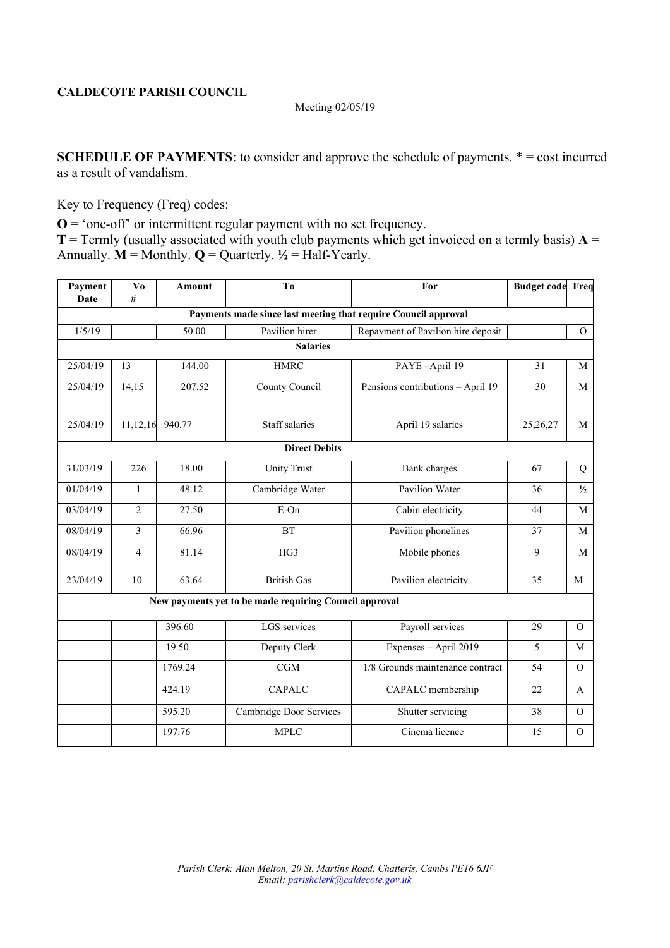#### Meeting 02/05/19

**SCHEDULE OF PAYMENTS:** to consider and approve the schedule of payments.  $* = \text{cost incurred}$ as a result of vandalism.

Key to Frequency (Freq) codes:

**O** = 'one-off' or intermittent regular payment with no set frequency.

**T** = Termly (usually associated with youth club payments which get invoiced on a termly basis)  $A =$ Annually.  $\mathbf{M} = \text{Monthly}$ .  $\mathbf{Q} = \text{Quarterly}$ .  $\frac{1}{2} = \text{Half-Yearly}$ .

| Payment<br>Date | V <sub>0</sub><br># | <b>Amount</b> | T <sub>0</sub>                                                 | For                                | <b>Budget code Freq</b> |               |
|-----------------|---------------------|---------------|----------------------------------------------------------------|------------------------------------|-------------------------|---------------|
|                 |                     |               | Payments made since last meeting that require Council approval |                                    |                         |               |
| 1/5/19          |                     | 50.00         | Pavilion hirer                                                 | Repayment of Pavilion hire deposit |                         | $\mathcal{O}$ |
|                 |                     |               | <b>Salaries</b>                                                |                                    |                         |               |
| 25/04/19        | 13                  | 144.00        | <b>HMRC</b>                                                    | PAYE-April 19                      | 31                      | M             |
| 25/04/19        | 14,15               | 207.52        | County Council                                                 | Pensions contributions - April 19  | 30                      | $\mathbf{M}$  |
| 25/04/19        | 11,12,16            | 940.77        | Staff salaries                                                 | April 19 salaries                  | 25,26,27                | M             |
|                 |                     |               | <b>Direct Debits</b>                                           |                                    |                         |               |
| 31/03/19        | 226                 | 18.00         | <b>Unity Trust</b>                                             | <b>Bank</b> charges                | 67                      | Q             |
| 01/04/19        | $\mathbf{1}$        | 48.12         | Cambridge Water                                                | Pavilion Water                     | 36                      | $\frac{1}{2}$ |
| 03/04/19        | $\overline{c}$      | 27.50         | E-On                                                           | Cabin electricity                  | 44                      | M             |
| 08/04/19        | $\overline{3}$      | 66.96         | <b>BT</b>                                                      | Pavilion phonelines                | 37                      | M             |
| 08/04/19        | $\overline{4}$      | 81.14         | HG3                                                            | Mobile phones                      | 9                       | M             |
| 23/04/19        | 10                  | 63.64         | <b>British Gas</b>                                             | Pavilion electricity               | 35                      | M             |
|                 |                     |               | New payments yet to be made requiring Council approval         |                                    |                         |               |
|                 |                     | 396.60        | LGS services                                                   | Payroll services                   | 29                      | $\Omega$      |
|                 |                     | 19.50         | Deputy Clerk                                                   | Expenses - April 2019              | 5                       | M             |
|                 |                     | 1769.24       | CGM                                                            | 1/8 Grounds maintenance contract   | 54                      | $\Omega$      |
|                 |                     | 424.19        | <b>CAPALC</b>                                                  | CAPALC membership                  | 22                      | A             |
|                 |                     | 595.20        | Cambridge Door Services                                        | Shutter servicing                  | 38                      | $\Omega$      |
|                 |                     | 197.76        | <b>MPLC</b>                                                    | Cinema licence                     | 15                      | $\mathbf{O}$  |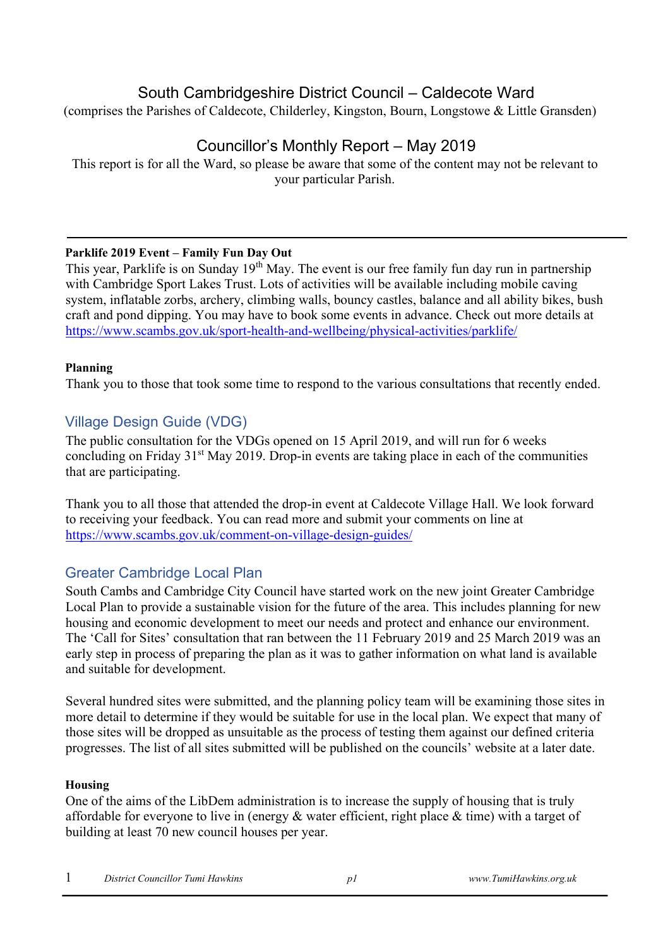# South Cambridgeshire District Council – Caldecote Ward

(comprises the Parishes of Caldecote, Childerley, Kingston, Bourn, Longstowe & Little Gransden)

# Councillor's Monthly Report – May 2019

This report is for all the Ward, so please be aware that some of the content may not be relevant to your particular Parish.

## **Parklife 2019 Event – Family Fun Day Out**

This year, Parklife is on Sunday 19<sup>th</sup> May. The event is our free family fun day run in partnership with Cambridge Sport Lakes Trust. Lots of activities will be available including mobile caving system, inflatable zorbs, archery, climbing walls, bouncy castles, balance and all ability bikes, bush craft and pond dipping. You may have to book some events in advance. Check out more details at <https://www.scambs.gov.uk/sport-health-and-wellbeing/physical-activities/parklife/>

## **Planning**

Thank you to those that took some time to respond to the various consultations that recently ended.

# Village Design Guide (VDG)

The public consultation for the VDGs opened on 15 April 2019, and will run for 6 weeks concluding on Friday  $31<sup>st</sup>$  May 2019. Drop-in events are taking place in each of the communities that are participating.

Thank you to all those that attended the drop-in event at Caldecote Village Hall. We look forward to receiving your feedback. You can read more and submit your comments on line at <https://www.scambs.gov.uk/comment-on-village-design-guides/>

# Greater Cambridge Local Plan

South Cambs and Cambridge City Council have started work on the new joint Greater Cambridge Local Plan to provide a sustainable vision for the future of the area. This includes planning for new housing and economic development to meet our needs and protect and enhance our environment. The 'Call for Sites' consultation that ran between the 11 February 2019 and 25 March 2019 was an early step in process of preparing the plan as it was to gather information on what land is available and suitable for development.

Several hundred sites were submitted, and the planning policy team will be examining those sites in more detail to determine if they would be suitable for use in the local plan. We expect that many of those sites will be dropped as unsuitable as the process of testing them against our defined criteria progresses. The list of all sites submitted will be published on the councils' website at a later date.

## **Housing**

One of the aims of the LibDem administration is to increase the supply of housing that is truly affordable for everyone to live in (energy & water efficient, right place & time) with a target of building at least 70 new council houses per year.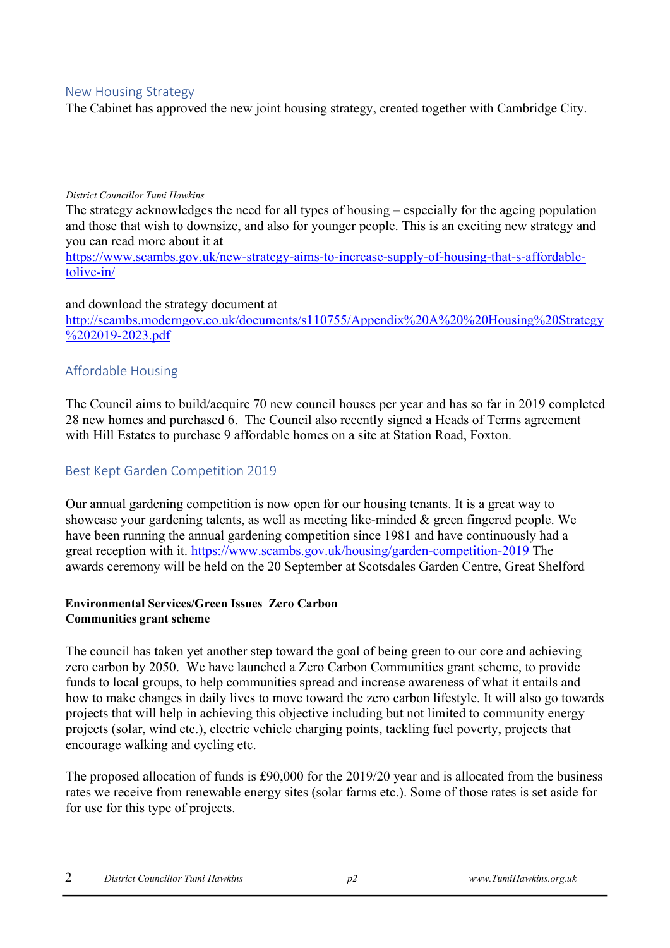### New Housing Strategy

The Cabinet has approved the new joint housing strategy, created together with Cambridge City.

#### *District Councillor Tumi Hawkins*

The strategy acknowledges the need for all types of housing – especially for the ageing population and those that wish to downsize, and also for younger people. This is an exciting new strategy and you can read more about it at

[https://www.scambs.gov.uk/new-strategy-aims-to-increase-supply-of-housing-that-s-affordable](https://www.scambs.gov.uk/new-strategy-aims-to-increase-supply-of-housing-that-s-affordable-to-live-in/)[tolive-in/](https://www.scambs.gov.uk/new-strategy-aims-to-increase-supply-of-housing-that-s-affordable-to-live-in/)

#### and download the strategy document at

[http://scambs.moderngov.co.uk/documents/s110755/Appendix%20A%20%20Housing%20Strategy](http://scambs.moderngov.co.uk/documents/s110755/Appendix%20A%20-%20Housing%20Strategy%202019-2023.pdf) [%202019-2023.pdf](http://scambs.moderngov.co.uk/documents/s110755/Appendix%20A%20-%20Housing%20Strategy%202019-2023.pdf)

## Affordable Housing

The Council aims to build/acquire 70 new council houses per year and has so far in 2019 completed 28 new homes and purchased 6. The Council also recently signed a Heads of Terms agreement with Hill Estates to purchase 9 affordable homes on a site at Station Road, Foxton.

## Best Kept Garden Competition 2019

Our annual gardening competition is now open for our housing tenants. It is a great way to showcase your gardening talents, as well as meeting like-minded & green fingered people. We have been running the annual gardening competition since 1981 and have continuously had a great reception with it. <https://www.scambs.gov.uk/housing/garden-competition-2019> [T](https://www.scambs.gov.uk/housing/garden-competition-2019)he awards ceremony will be held on the 20 September at Scotsdales Garden Centre, Great Shelford

#### **Environmental Services/Green Issues Zero Carbon Communities grant scheme**

The council has taken yet another step toward the goal of being green to our core and achieving zero carbon by 2050. We have launched a Zero Carbon Communities grant scheme, to provide funds to local groups, to help communities spread and increase awareness of what it entails and how to make changes in daily lives to move toward the zero carbon lifestyle. It will also go towards projects that will help in achieving this objective including but not limited to community energy projects (solar, wind etc.), electric vehicle charging points, tackling fuel poverty, projects that encourage walking and cycling etc.

The proposed allocation of funds is £90,000 for the 2019/20 year and is allocated from the business rates we receive from renewable energy sites (solar farms etc.). Some of those rates is set aside for for use for this type of projects.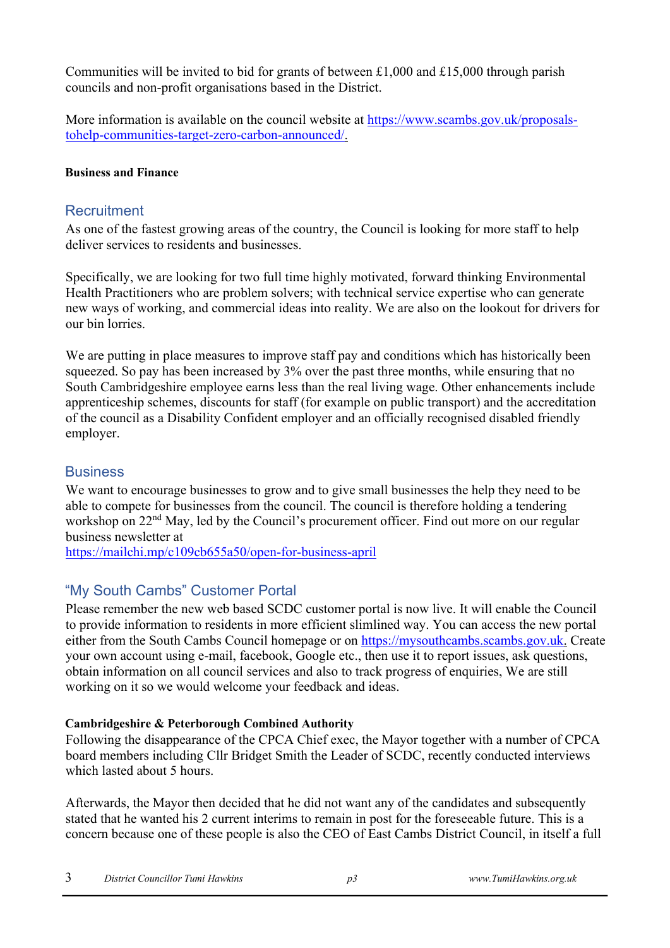Communities will be invited to bid for grants of between £1,000 and £15,000 through parish councils and non-profit organisations based in the District.

More information is available on the council website at [https://www.scambs.gov.uk/proposals](https://www.scambs.gov.uk/proposals-to-help-communities-target-zero-carbon-announced/)[tohelp-communities-target-zero-carbon-announced/.](https://www.scambs.gov.uk/proposals-to-help-communities-target-zero-carbon-announced/)

## **Business and Finance**

## **Recruitment**

As one of the fastest growing areas of the country, the Council is looking for more staff to help deliver services to residents and businesses.

Specifically, we are looking for two full time highly motivated, forward thinking Environmental Health Practitioners who are problem solvers; with technical service expertise who can generate new ways of working, and commercial ideas into reality. We are also on the lookout for drivers for our bin lorries.

We are putting in place measures to improve staff pay and conditions which has historically been squeezed. So pay has been increased by 3% over the past three months, while ensuring that no South Cambridgeshire employee earns less than the real living wage. Other enhancements include apprenticeship schemes, discounts for staff (for example on public transport) and the accreditation of the council as a Disability Confident employer and an officially recognised disabled friendly employer.

## **Business**

We want to encourage businesses to grow and to give small businesses the help they need to be able to compete for businesses from the council. The council is therefore holding a tendering workshop on 22<sup>nd</sup> May, led by the Council's procurement officer. Find out more on our regular business newsletter at

<https://mailchi.mp/c109cb655a50/open-for-business-april>

# "My South Cambs" Customer Portal

Please remember the new web based SCDC customer portal is now live. It will enable the Council to provide information to residents in more efficient slimlined way. You can access the new portal either from the South Cambs Council homepage or on [https://mysouthcambs.scambs.gov.uk.](https://mysouthcambs.scambs.gov.uk/) Create your own account using e-mail, facebook, Google etc., then use it to report issues, ask questions, obtain information on all council services and also to track progress of enquiries, We are still working on it so we would welcome your feedback and ideas.

## **Cambridgeshire & Peterborough Combined Authority**

Following the disappearance of the CPCA Chief exec, the Mayor together with a number of CPCA board members including Cllr Bridget Smith the Leader of SCDC, recently conducted interviews which lasted about 5 hours.

Afterwards, the Mayor then decided that he did not want any of the candidates and subsequently stated that he wanted his 2 current interims to remain in post for the foreseeable future. This is a concern because one of these people is also the CEO of East Cambs District Council, in itself a full